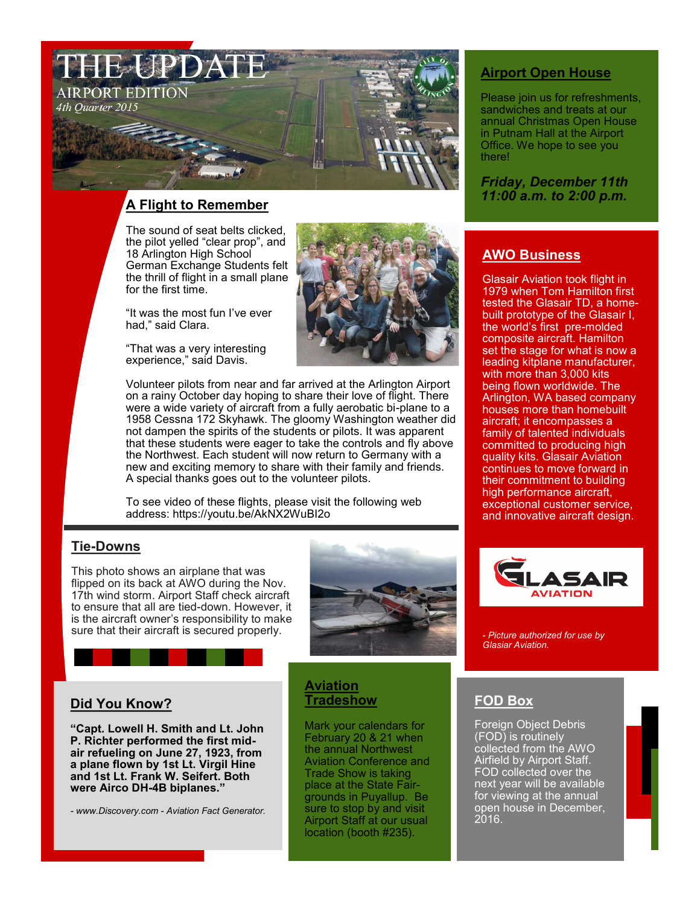

# *11:00 a.m. to 2:00 p.m.* **A Flight to Remember**

The sound of seat belts clicked, the pilot yelled "clear prop", and 18 Arlington High School German Exchange Students felt the thrill of flight in a small plane for the first time.

"It was the most fun I've ever had," said Clara.

"That was a very interesting experience," said Davis.



Volunteer pilots from near and far arrived at the Arlington Airport on a rainy October day hoping to share their love of flight. There were a wide variety of aircraft from a fully aerobatic bi-plane to a 1958 Cessna 172 Skyhawk. The gloomy Washington weather did not dampen the spirits of the students or pilots. It was apparent that these students were eager to take the controls and fly above the Northwest. Each student will now return to Germany with a new and exciting memory to share with their family and friends. A special thanks goes out to the volunteer pilots.

To see video of these flights, please visit the following web address: https://youtu.be/AkNX2WuBI2o

## **Tie-Downs**

This photo shows an airplane that was flipped on its back at AWO during the Nov. 17th wind storm. Airport Staff check aircraft to ensure that all are tied-down. However, it is the aircraft owner's responsibility to make sure that their aircraft is secured properly.



## **Did You Know?**

**"Capt. Lowell H. Smith and Lt. John P. Richter performed the first midair refueling on June 27, 1923, from a plane flown by 1st Lt. Virgil Hine and 1st Lt. Frank W. Seifert. Both were Airco DH-4B biplanes."**

*- www.Discovery.com - Aviation Fact Generator.*

## **Aviation Tradeshow**

Mark your calendars for February 20 & 21 when the annual Northwest Aviation Conference and Trade Show is taking place at the State Fairgrounds in Puyallup. Be sure to stop by and visit Airport Staff at our usual location (booth #235).

## **Airport Open House**

Please join us for refreshments, sandwiches and treats at our annual Christmas Open House in Putnam Hall at the Airport Office. We hope to see you there!

*Friday, December 11th*

# **AWO Business**

Glasair Aviation took flight in 1979 when Tom Hamilton first tested the Glasair TD, a homebuilt prototype of the Glasair I, the world's first pre-molded composite aircraft. Hamilton set the stage for what is now a leading kitplane manufacturer, with more than 3,000 kits being flown worldwide. The Arlington, WA based company houses more than homebuilt aircraft; it encompasses a family of talented individuals committed to producing high quality kits. Glasair Aviation continues to move forward in their commitment to building high performance aircraft, exceptional customer service, and innovative aircraft design.



*- Picture authorized for use by Glasiar Aviation.* 

# **FOD Box**

Foreign Object Debris<br>(FOD) is routinely (FOD) is routinely collected from the AWO Airfield by Airport Staff. FOD collected over the next year will be available for viewing at the annual open house in December, 2016.